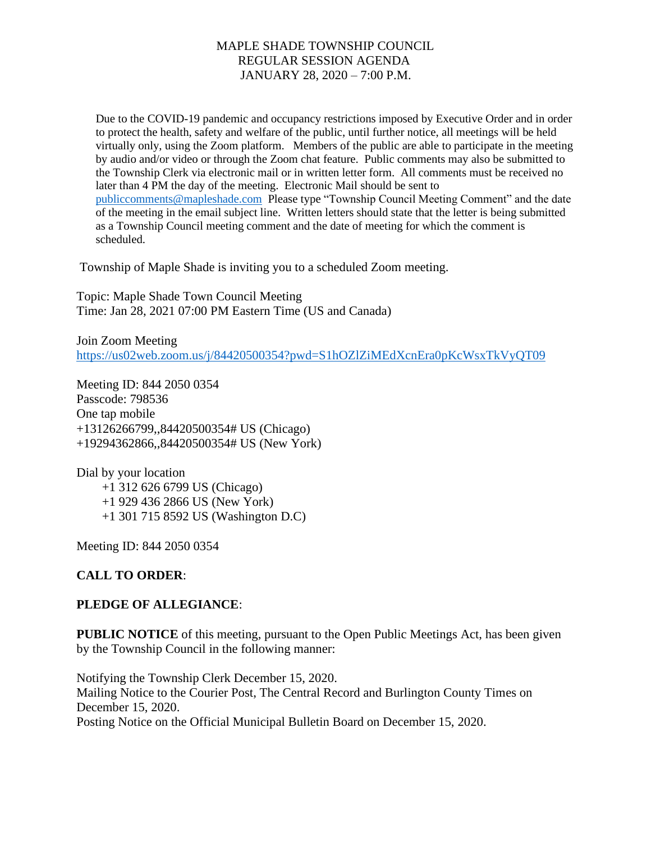Due to the COVID-19 pandemic and occupancy restrictions imposed by Executive Order and in order to protect the health, safety and welfare of the public, until further notice, all meetings will be held virtually only, using the Zoom platform. Members of the public are able to participate in the meeting by audio and/or video or through the Zoom chat feature. Public comments may also be submitted to the Township Clerk via electronic mail or in written letter form. All comments must be received no later than 4 PM the day of the meeting. Electronic Mail should be sent to [publiccomments@mapleshade.com](mailto:publiccomments@mapleshade.com) Please type "Township Council Meeting Comment" and the date of the meeting in the email subject line. Written letters should state that the letter is being submitted as a Township Council meeting comment and the date of meeting for which the comment is scheduled.

Township of Maple Shade is inviting you to a scheduled Zoom meeting.

Topic: Maple Shade Town Council Meeting Time: Jan 28, 2021 07:00 PM Eastern Time (US and Canada)

Join Zoom Meeting <https://us02web.zoom.us/j/84420500354?pwd=S1hOZlZiMEdXcnEra0pKcWsxTkVyQT09>

Meeting ID: 844 2050 0354 Passcode: 798536 One tap mobile +13126266799,,84420500354# US (Chicago) +19294362866,,84420500354# US (New York)

Dial by your location +1 312 626 6799 US (Chicago) +1 929 436 2866 US (New York) +1 301 715 8592 US (Washington D.C)

Meeting ID: 844 2050 0354

# **CALL TO ORDER**:

# **PLEDGE OF ALLEGIANCE**:

**PUBLIC NOTICE** of this meeting, pursuant to the Open Public Meetings Act, has been given by the Township Council in the following manner:

Notifying the Township Clerk December 15, 2020. Mailing Notice to the Courier Post, The Central Record and Burlington County Times on December 15, 2020. Posting Notice on the Official Municipal Bulletin Board on December 15, 2020.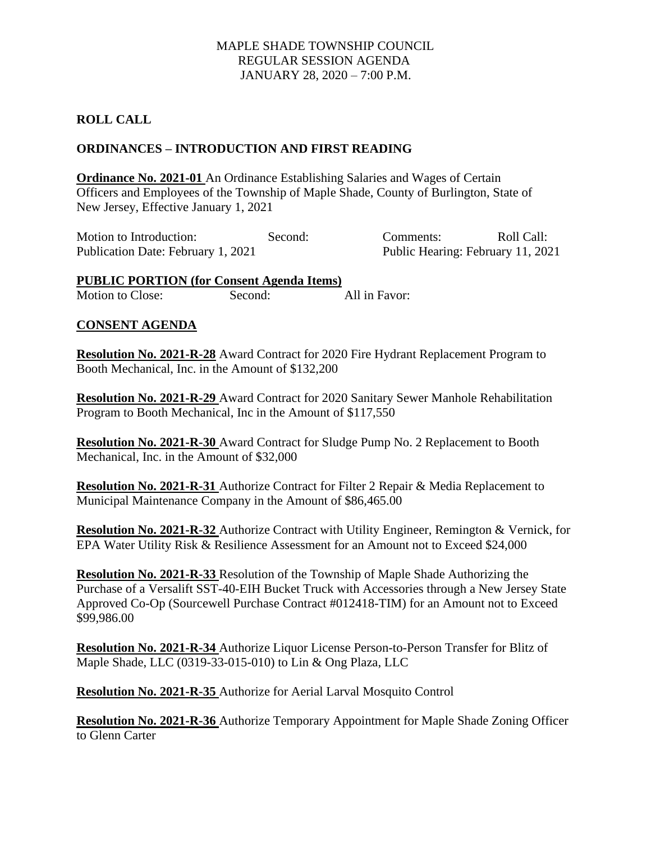## **ROLL CALL**

### **ORDINANCES – INTRODUCTION AND FIRST READING**

**Ordinance No. 2021-01** An Ordinance Establishing Salaries and Wages of Certain Officers and Employees of the Township of Maple Shade, County of Burlington, State of New Jersey, Effective January 1, 2021

Motion to Introduction: Second: Second: Comments: Roll Call: Publication Date: February 1, 2021 Public Hearing: February 11, 2021

**PUBLIC PORTION (for Consent Agenda Items)** Motion to Close: Second: All in Favor:

#### **CONSENT AGENDA**

**Resolution No. 2021-R-28** Award Contract for 2020 Fire Hydrant Replacement Program to Booth Mechanical, Inc. in the Amount of \$132,200

**Resolution No. 2021-R-29** Award Contract for 2020 Sanitary Sewer Manhole Rehabilitation Program to Booth Mechanical, Inc in the Amount of \$117,550

**Resolution No. 2021-R-30** Award Contract for Sludge Pump No. 2 Replacement to Booth Mechanical, Inc. in the Amount of \$32,000

**Resolution No. 2021-R-31** Authorize Contract for Filter 2 Repair & Media Replacement to Municipal Maintenance Company in the Amount of \$86,465.00

**Resolution No. 2021-R-32** Authorize Contract with Utility Engineer, Remington & Vernick, for EPA Water Utility Risk & Resilience Assessment for an Amount not to Exceed \$24,000

**Resolution No. 2021-R-33** Resolution of the Township of Maple Shade Authorizing the Purchase of a Versalift SST-40-EIH Bucket Truck with Accessories through a New Jersey State Approved Co-Op (Sourcewell Purchase Contract #012418-TIM) for an Amount not to Exceed \$99,986.00

**Resolution No. 2021-R-34** Authorize Liquor License Person-to-Person Transfer for Blitz of Maple Shade, LLC (0319-33-015-010) to Lin & Ong Plaza, LLC

**Resolution No. 2021-R-35** Authorize for Aerial Larval Mosquito Control

**Resolution No. 2021-R-36** Authorize Temporary Appointment for Maple Shade Zoning Officer to Glenn Carter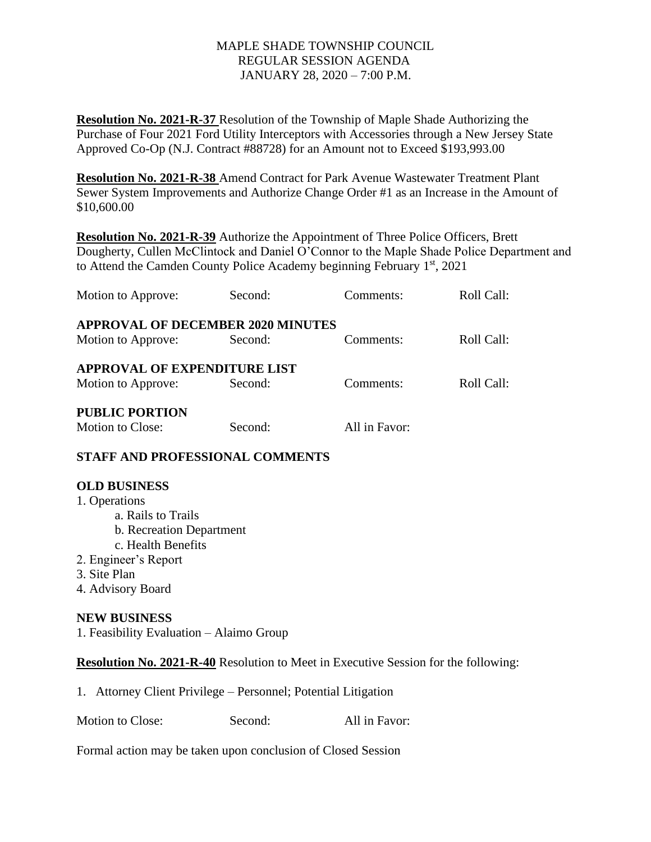**Resolution No. 2021-R-37** Resolution of the Township of Maple Shade Authorizing the Purchase of Four 2021 Ford Utility Interceptors with Accessories through a New Jersey State Approved Co-Op (N.J. Contract #88728) for an Amount not to Exceed \$193,993.00

**Resolution No. 2021-R-38** Amend Contract for Park Avenue Wastewater Treatment Plant Sewer System Improvements and Authorize Change Order #1 as an Increase in the Amount of \$10,600.00

**Resolution No. 2021-R-39** Authorize the Appointment of Three Police Officers, Brett Dougherty, Cullen McClintock and Daniel O'Connor to the Maple Shade Police Department and to Attend the Camden County Police Academy beginning February  $1<sup>st</sup>$ , 2021

| Motion to Approve:                       | Second: | Comments:     | Roll Call: |
|------------------------------------------|---------|---------------|------------|
| <b>APPROVAL OF DECEMBER 2020 MINUTES</b> |         |               |            |
| Motion to Approve:                       | Second: | Comments:     | Roll Call: |
| <b>APPROVAL OF EXPENDITURE LIST</b>      |         |               |            |
| Motion to Approve:                       | Second: | Comments:     | Roll Call: |
| <b>PUBLIC PORTION</b>                    |         |               |            |
| <b>Motion to Close:</b>                  | Second: | All in Favor: |            |

# **STAFF AND PROFESSIONAL COMMENTS**

#### **OLD BUSINESS**

1. Operations a. Rails to Trails b. Recreation Department c. Health Benefits 2. Engineer's Report 3. Site Plan 4. Advisory Board

#### **NEW BUSINESS**  1. Feasibility Evaluation – Alaimo Group

# **Resolution No. 2021-R-40** Resolution to Meet in Executive Session for the following:

1. Attorney Client Privilege – Personnel; Potential Litigation

Motion to Close: Second: All in Favor:

Formal action may be taken upon conclusion of Closed Session